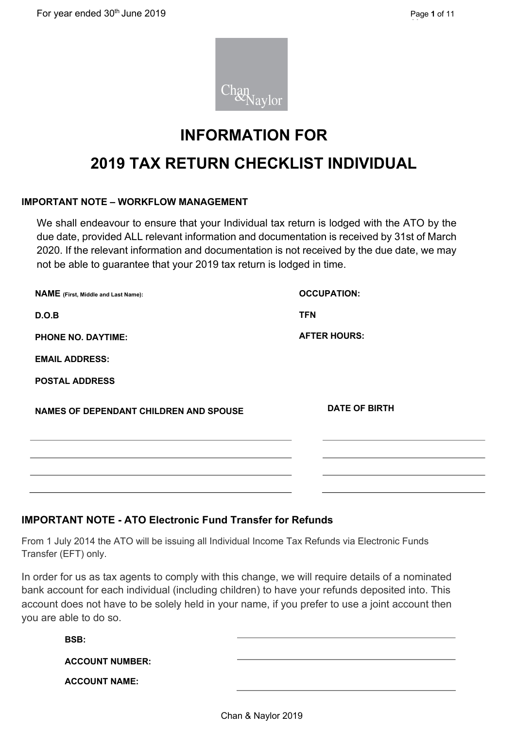

### **INFORMATION FOR**

## **2019 TAX RETURN CHECKLIST INDIVIDUAL**

#### **IMPORTANT NOTE – WORKFLOW MANAGEMENT**

We shall endeavour to ensure that your Individual tax return is lodged with the ATO by the due date, provided ALL relevant information and documentation is received by 31st of March 2020. If the relevant information and documentation is not received by the due date, we may not be able to guarantee that your 2019 tax return is lodged in time.

| <b>NAME</b> (First, Middle and Last Name):    | <b>OCCUPATION:</b>   |
|-----------------------------------------------|----------------------|
| D.O.B                                         | <b>TFN</b>           |
| <b>PHONE NO. DAYTIME:</b>                     | <b>AFTER HOURS:</b>  |
| <b>EMAIL ADDRESS:</b>                         |                      |
| <b>POSTAL ADDRESS</b>                         |                      |
| <b>NAMES OF DEPENDANT CHILDREN AND SPOUSE</b> | <b>DATE OF BIRTH</b> |
|                                               |                      |
|                                               |                      |
|                                               |                      |

#### **IMPORTANT NOTE - ATO Electronic Fund Transfer for Refunds**

From 1 July 2014 the ATO will be issuing all Individual Income Tax Refunds via Electronic Funds Transfer (EFT) only.

In order for us as tax agents to comply with this change, we will require details of a nominated bank account for each individual (including children) to have your refunds deposited into. This account does not have to be solely held in your name, if you prefer to use a joint account then you are able to do so.

| BSB:                   |  |
|------------------------|--|
| <b>ACCOUNT NUMBER:</b> |  |
| <b>ACCOUNT NAME:</b>   |  |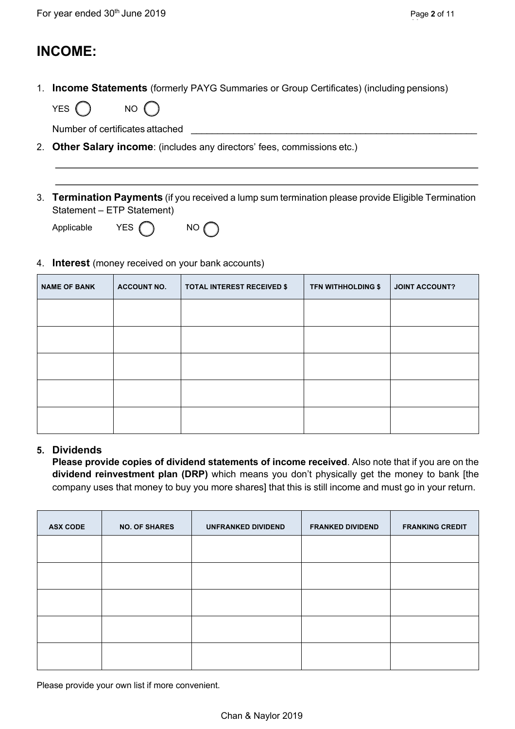### **INCOME:**

1. **Income Statements** (formerly PAYG Summaries or Group Certificates) (including pensions)

| VE.<br>YES | NΟ |  |
|------------|----|--|
|            |    |  |

Number of certificates attached

- 2. **Other Salary income**: (includes any directors' fees, commissions etc.)
- 3. **Termination Payments** (if you received a lump sum termination please provide Eligible Termination Statement – ETP Statement)

| Applicable | YES $\bigcirc$ | $N$ O |
|------------|----------------|-------|
|------------|----------------|-------|

#### 4. **Interest** (money received on your bank accounts)

| <b>NAME OF BANK</b> | <b>ACCOUNT NO.</b> | <b>TOTAL INTEREST RECEIVED \$</b> | <b>TFN WITHHOLDING \$</b> | <b>JOINT ACCOUNT?</b> |
|---------------------|--------------------|-----------------------------------|---------------------------|-----------------------|
|                     |                    |                                   |                           |                       |
|                     |                    |                                   |                           |                       |
|                     |                    |                                   |                           |                       |
|                     |                    |                                   |                           |                       |
|                     |                    |                                   |                           |                       |

#### **5. Dividends**

**Please provide copies of dividend statements of income received**. Also note that if you are on the **dividend reinvestment plan (DRP)** which means you don't physically get the money to bank [the company uses that money to buy you more shares] that this is still income and must go in your return.

| <b>ASX CODE</b> | <b>NO. OF SHARES</b> | <b>UNFRANKED DIVIDEND</b> | <b>FRANKED DIVIDEND</b> | <b>FRANKING CREDIT</b> |
|-----------------|----------------------|---------------------------|-------------------------|------------------------|
|                 |                      |                           |                         |                        |
|                 |                      |                           |                         |                        |
|                 |                      |                           |                         |                        |
|                 |                      |                           |                         |                        |
|                 |                      |                           |                         |                        |

Please provide your own list if more convenient.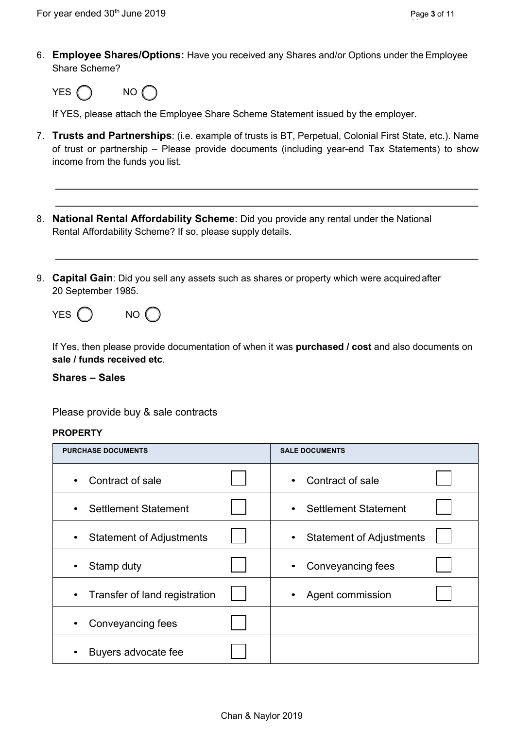6. **Employee Shares/Options:** Have you received any Shares and/or Options under the Employee Share Scheme?



If YES, please attach the Employee Share Scheme Statement issued by the employer.

- 7. **Trusts and Partnerships**: (i.e. example of trusts is BT, Perpetual, Colonial First State, etc.). Name of trust or partnership – Please provide documents (including year-end Tax Statements) to show income from the funds you list.
- 8. **National Rental Affordability Scheme**: Did you provide any rental under the National Rental Affordability Scheme? If so, please supply details.
- 9. **Capital Gain**: Did you sell any assets such as shares or property which were acquiredafter 20 September 1985.

| YES ( | NO() |
|-------|------|
|-------|------|

If Yes, then please provide documentation of when it was **purchased / cost** and also documents on **sale / funds received etc**.

**Shares – Sales** 

Please provide buy & sale contracts

#### **PROPERTY**

| <b>PURCHASE DOCUMENTS</b>                    | <b>SALE DOCUMENTS</b>           |
|----------------------------------------------|---------------------------------|
| Contract of sale<br>$\bullet$                | Contract of sale                |
| <b>Settlement Statement</b><br>$\bullet$     | <b>Settlement Statement</b>     |
| <b>Statement of Adjustments</b><br>$\bullet$ | <b>Statement of Adjustments</b> |
| Stamp duty<br>$\bullet$                      | Conveyancing fees               |
| Transfer of land registration<br>$\bullet$   | Agent commission                |
| Conveyancing fees<br>$\bullet$               |                                 |
| Buyers advocate fee                          |                                 |

**11**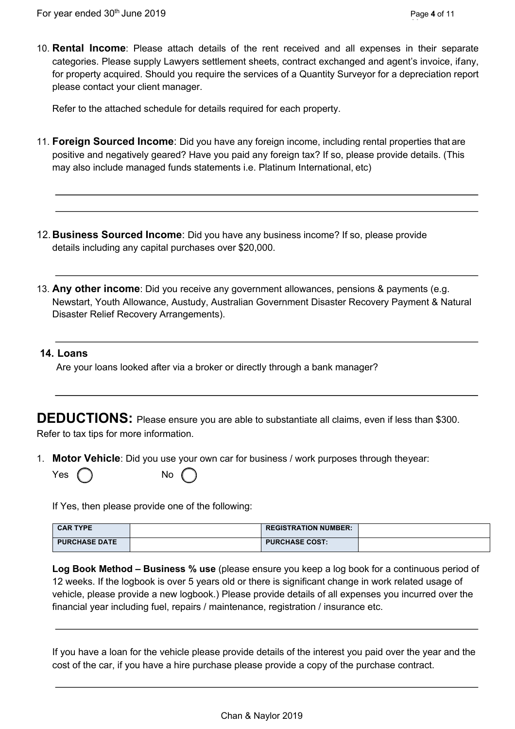10. **Rental Income**: Please attach details of the rent received and all expenses in their separate categories. Please supply Lawyers settlement sheets, contract exchanged and agent's invoice, ifany, for property acquired. Should you require the services of a Quantity Surveyor for a depreciation report please contact your client manager.

Refer to the attached schedule for details required for each property.

- 11. **Foreign Sourced Income**: Did you have any foreign income, including rental properties that are positive and negatively geared? Have you paid any foreign tax? If so, please provide details. (This may also include managed funds statements i.e. Platinum International, etc)
- 12. **Business Sourced Income**: Did you have any business income? If so, please provide details including any capital purchases over \$20,000.
- 13. **Any other income**: Did you receive any government allowances, pensions & payments (e.g. Newstart, Youth Allowance, Austudy, Australian Government Disaster Recovery Payment & Natural Disaster Relief Recovery Arrangements).

#### **14. Loans**

Are your loans looked after via a broker or directly through a bank manager?

**DEDUCTIONS:** Please ensure you are able to substantiate all claims, even if less than \$300. Refer to tax tips for more information.

1. **Motor Vehicle**: Did you use your own car for business / work purposes through theyear:

| Yes $($ |  | No |
|---------|--|----|
|---------|--|----|

If Yes, then please provide one of the following:

| <b>CAR TYPE</b>      | <b>REGISTRATION NUMBER:</b> |  |
|----------------------|-----------------------------|--|
| <b>PURCHASE DATE</b> | <b>PURCHASE COST:</b>       |  |

**Log Book Method – Business % use** (please ensure you keep a log book for a continuous period of 12 weeks. If the logbook is over 5 years old or there is significant change in work related usage of vehicle, please provide a new logbook.) Please provide details of all expenses you incurred over the financial year including fuel, repairs / maintenance, registration / insurance etc.

If you have a loan for the vehicle please provide details of the interest you paid over the year and the cost of the car, if you have a hire purchase please provide a copy of the purchase contract.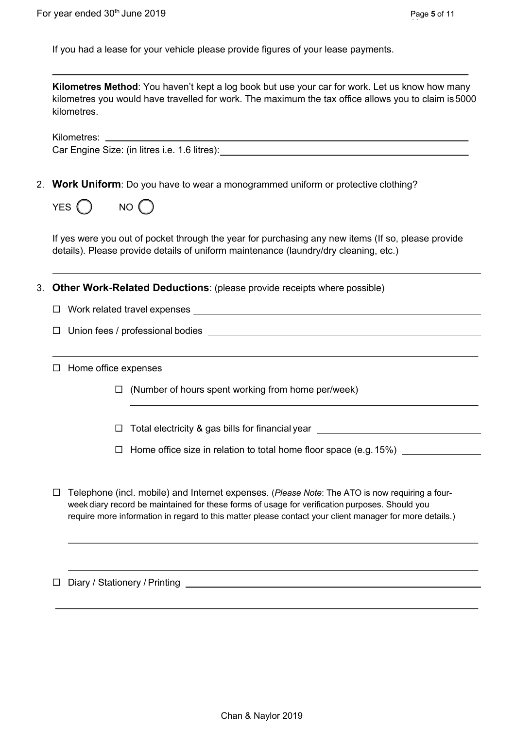If you had a lease for your vehicle please provide figures of your lease payments.

**Kilometres Method**: You haven't kept a log book but use your car for work. Let us know how many kilometres you would have travelled for work. The maximum the tax office allows you to claim is5000 kilometres.

Kilometres: \_ Car Engine Size: (in litres i.e. 1.6 litres):

2. **Work Uniform**: Do you have to wear a monogrammed uniform or protective clothing?

| YES | NΟ |
|-----|----|
|-----|----|

If yes were you out of pocket through the year for purchasing any new items (If so, please provide details). Please provide details of uniform maintenance (laundry/dry cleaning, etc.)

3. **Other Work-Related Deductions**: (please provide receipts where possible)

- $\square$  Work related travel expenses
- $\square$  Union fees / professional bodies
- $\square$  Home office expenses
	- $\Box$  (Number of hours spent working from home per/week)
	- □ Total electricity & gas bills for financial year \_\_\_\_\_\_\_\_\_\_\_\_\_\_\_\_\_\_\_\_\_\_\_\_\_\_\_\_\_
	- $\Box$  Home office size in relation to total home floor space (e.g. 15%)
- ¨ Telephone (incl. mobile) and Internet expenses. (*Please Note*: The ATO is now requiring a fourweek diary record be maintained for these forms of usage for verification purposes. Should you require more information in regard to this matter please contact your client manager for more details.)

 $\Box$  Diary / Stationery / Printing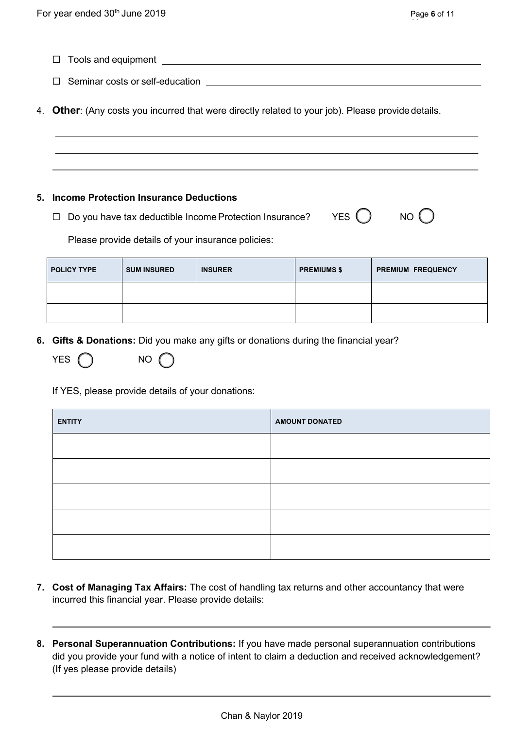$\Box$  Tools and equipment

 $\square$  Seminar costs or self-education

4. **Other**: (Any costs you incurred that were directly related to your job). Please provide details.

#### **5. Income Protection Insurance Deductions**

 $\Box$  Do you have tax deductible Income Protection Insurance? YES  $\bigcirc$  NO  $\bigcirc$ 

Please provide details of your insurance policies:

| <b>POLICY TYPE</b> | <b>SUM INSURED</b> | <b>INSURER</b> | <b>PREMIUMS \$</b> | <b>PREMIUM FREQUENCY</b> |
|--------------------|--------------------|----------------|--------------------|--------------------------|
|                    |                    |                |                    |                          |
|                    |                    |                |                    |                          |

**6. Gifts & Donations:** Did you make any gifts or donations during the financial year?

| YES ( | <b>NO</b> | $\left( \begin{array}{c} \end{array} \right)$ |
|-------|-----------|-----------------------------------------------|
|       |           |                                               |

If YES, please provide details of your donations:

| <b>ENTITY</b> | <b>AMOUNT DONATED</b> |
|---------------|-----------------------|
|               |                       |
|               |                       |
|               |                       |
|               |                       |
|               |                       |

- **7. Cost of Managing Tax Affairs:** The cost of handling tax returns and other accountancy that were incurred this financial year. Please provide details:
- **8. Personal Superannuation Contributions:** If you have made personal superannuation contributions did you provide your fund with a notice of intent to claim a deduction and received acknowledgement? (If yes please provide details)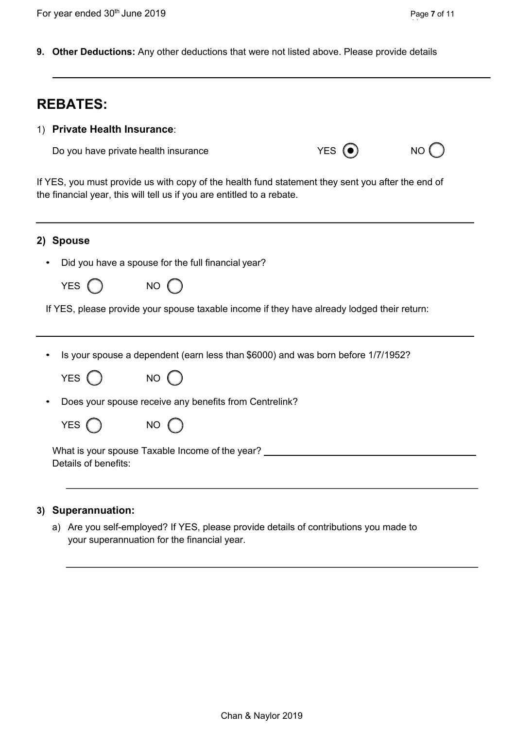**9. Other Deductions:** Any other deductions that were not listed above. Please provide details

| <b>REBATES:</b>                                                                                                                                                             |                                                                                                          |                                                    |  |  |  |  |
|-----------------------------------------------------------------------------------------------------------------------------------------------------------------------------|----------------------------------------------------------------------------------------------------------|----------------------------------------------------|--|--|--|--|
|                                                                                                                                                                             | 1) Private Health Insurance:                                                                             |                                                    |  |  |  |  |
|                                                                                                                                                                             | <b>YES</b><br>NO (<br>Do you have private health insurance                                               |                                                    |  |  |  |  |
| If YES, you must provide us with copy of the health fund statement they sent you after the end of<br>the financial year, this will tell us if you are entitled to a rebate. |                                                                                                          |                                                    |  |  |  |  |
|                                                                                                                                                                             | 2) Spouse                                                                                                |                                                    |  |  |  |  |
|                                                                                                                                                                             |                                                                                                          | Did you have a spouse for the full financial year? |  |  |  |  |
|                                                                                                                                                                             | YES (                                                                                                    | $NO$ $O$                                           |  |  |  |  |
|                                                                                                                                                                             | If YES, please provide your spouse taxable income if they have already lodged their return:              |                                                    |  |  |  |  |
|                                                                                                                                                                             | Is your spouse a dependent (earn less than \$6000) and was born before 1/7/1952?                         |                                                    |  |  |  |  |
|                                                                                                                                                                             | YES (                                                                                                    | NO (                                               |  |  |  |  |
|                                                                                                                                                                             | Does your spouse receive any benefits from Centrelink?                                                   |                                                    |  |  |  |  |
|                                                                                                                                                                             | YES (                                                                                                    | NO (                                               |  |  |  |  |
|                                                                                                                                                                             | What is your spouse Taxable Income of the year? ________________________________<br>Details of benefits: |                                                    |  |  |  |  |

#### **3) Superannuation:**

a) Are you self-employed? If YES, please provide details of contributions you made to your superannuation for the financial year.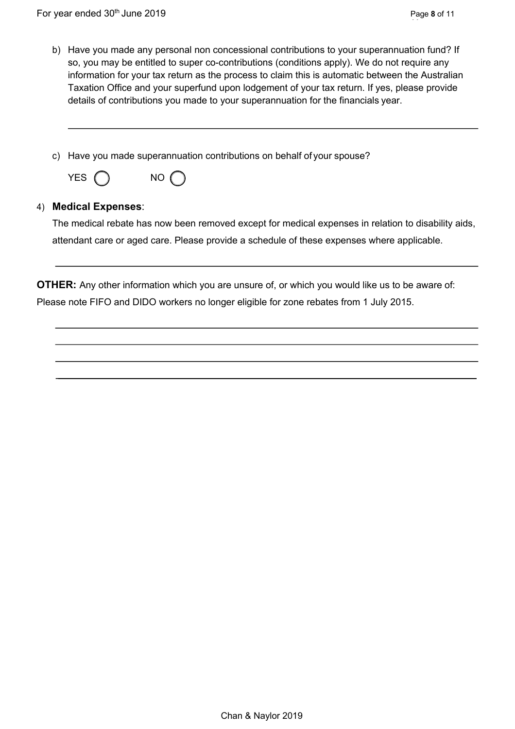- b) Have you made any personal non concessional contributions to your superannuation fund? If so, you may be entitled to super co-contributions (conditions apply). We do not require any information for your tax return as the process to claim this is automatic between the Australian Taxation Office and your superfund upon lodgement of your tax return. If yes, please provide details of contributions you made to your superannuation for the financials year.
- c) Have you made superannuation contributions on behalf of your spouse?

| <b>YES</b> |  | NΟ |
|------------|--|----|
|------------|--|----|

# 4) **Medical Expenses**:

The medical rebate has now been removed except for medical expenses in relation to disability aids, attendant care or aged care. Please provide a schedule of these expenses where applicable.

**OTHER:** Any other information which you are unsure of, or which you would like us to be aware of: Please note FIFO and DIDO workers no longer eligible for zone rebates from 1 July 2015.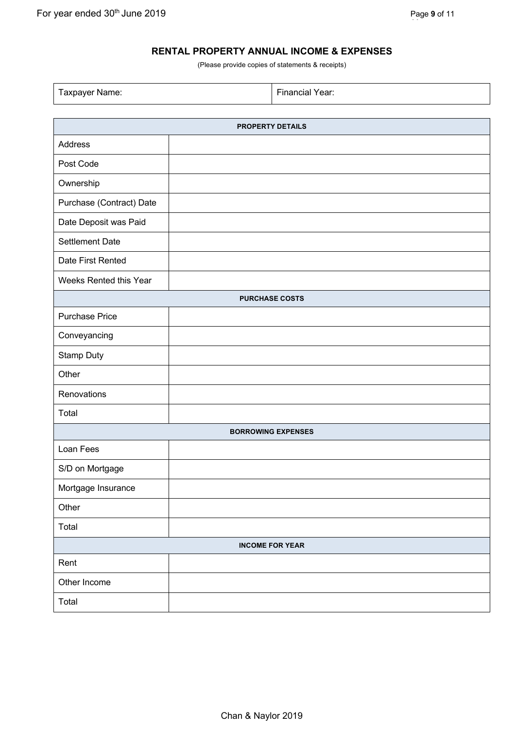#### **RENTAL PROPERTY ANNUAL INCOME & EXPENSES**

(Please provide copies of statements & receipts)

Taxpayer Name: Financial Year:

| <b>PROPERTY DETAILS</b>   |  |  |  |
|---------------------------|--|--|--|
| Address                   |  |  |  |
| Post Code                 |  |  |  |
| Ownership                 |  |  |  |
| Purchase (Contract) Date  |  |  |  |
| Date Deposit was Paid     |  |  |  |
| <b>Settlement Date</b>    |  |  |  |
| Date First Rented         |  |  |  |
| Weeks Rented this Year    |  |  |  |
| <b>PURCHASE COSTS</b>     |  |  |  |
| <b>Purchase Price</b>     |  |  |  |
| Conveyancing              |  |  |  |
| Stamp Duty                |  |  |  |
| Other                     |  |  |  |
| Renovations               |  |  |  |
| Total                     |  |  |  |
| <b>BORROWING EXPENSES</b> |  |  |  |
| Loan Fees                 |  |  |  |
| S/D on Mortgage           |  |  |  |
| Mortgage Insurance        |  |  |  |
| Other                     |  |  |  |
| Total                     |  |  |  |
| <b>INCOME FOR YEAR</b>    |  |  |  |
| Rent                      |  |  |  |
| Other Income              |  |  |  |
| Total                     |  |  |  |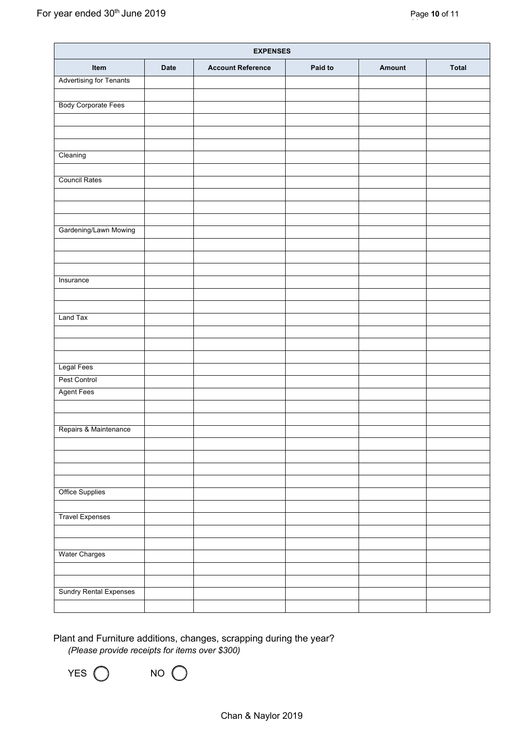| <b>EXPENSES</b>                |             |                          |         |        |              |
|--------------------------------|-------------|--------------------------|---------|--------|--------------|
| Item                           | <b>Date</b> | <b>Account Reference</b> | Paid to | Amount | <b>Total</b> |
| <b>Advertising for Tenants</b> |             |                          |         |        |              |
|                                |             |                          |         |        |              |
| <b>Body Corporate Fees</b>     |             |                          |         |        |              |
|                                |             |                          |         |        |              |
|                                |             |                          |         |        |              |
| Cleaning                       |             |                          |         |        |              |
|                                |             |                          |         |        |              |
| <b>Council Rates</b>           |             |                          |         |        |              |
|                                |             |                          |         |        |              |
|                                |             |                          |         |        |              |
|                                |             |                          |         |        |              |
| Gardening/Lawn Mowing          |             |                          |         |        |              |
|                                |             |                          |         |        |              |
|                                |             |                          |         |        |              |
|                                |             |                          |         |        |              |
| Insurance                      |             |                          |         |        |              |
|                                |             |                          |         |        |              |
|                                |             |                          |         |        |              |
| Land Tax                       |             |                          |         |        |              |
|                                |             |                          |         |        |              |
|                                |             |                          |         |        |              |
| <b>Legal Fees</b>              |             |                          |         |        |              |
| Pest Control                   |             |                          |         |        |              |
| <b>Agent Fees</b>              |             |                          |         |        |              |
|                                |             |                          |         |        |              |
|                                |             |                          |         |        |              |
| Repairs & Maintenance          |             |                          |         |        |              |
|                                |             |                          |         |        |              |
|                                |             |                          |         |        |              |
|                                |             |                          |         |        |              |
|                                |             |                          |         |        |              |
| <b>Office Supplies</b>         |             |                          |         |        |              |
|                                |             |                          |         |        |              |
| <b>Travel Expenses</b>         |             |                          |         |        |              |
|                                |             |                          |         |        |              |
|                                |             |                          |         |        |              |
| <b>Water Charges</b>           |             |                          |         |        |              |
|                                |             |                          |         |        |              |
|                                |             |                          |         |        |              |
| <b>Sundry Rental Expenses</b>  |             |                          |         |        |              |
|                                |             |                          |         |        |              |

 Plant and Furniture additions, changes, scrapping during the year? *(Please provide receipts for items over \$300)*

YES  $\bigcap$  NO  $\bigcap$ 

Chan & Naylor 2019